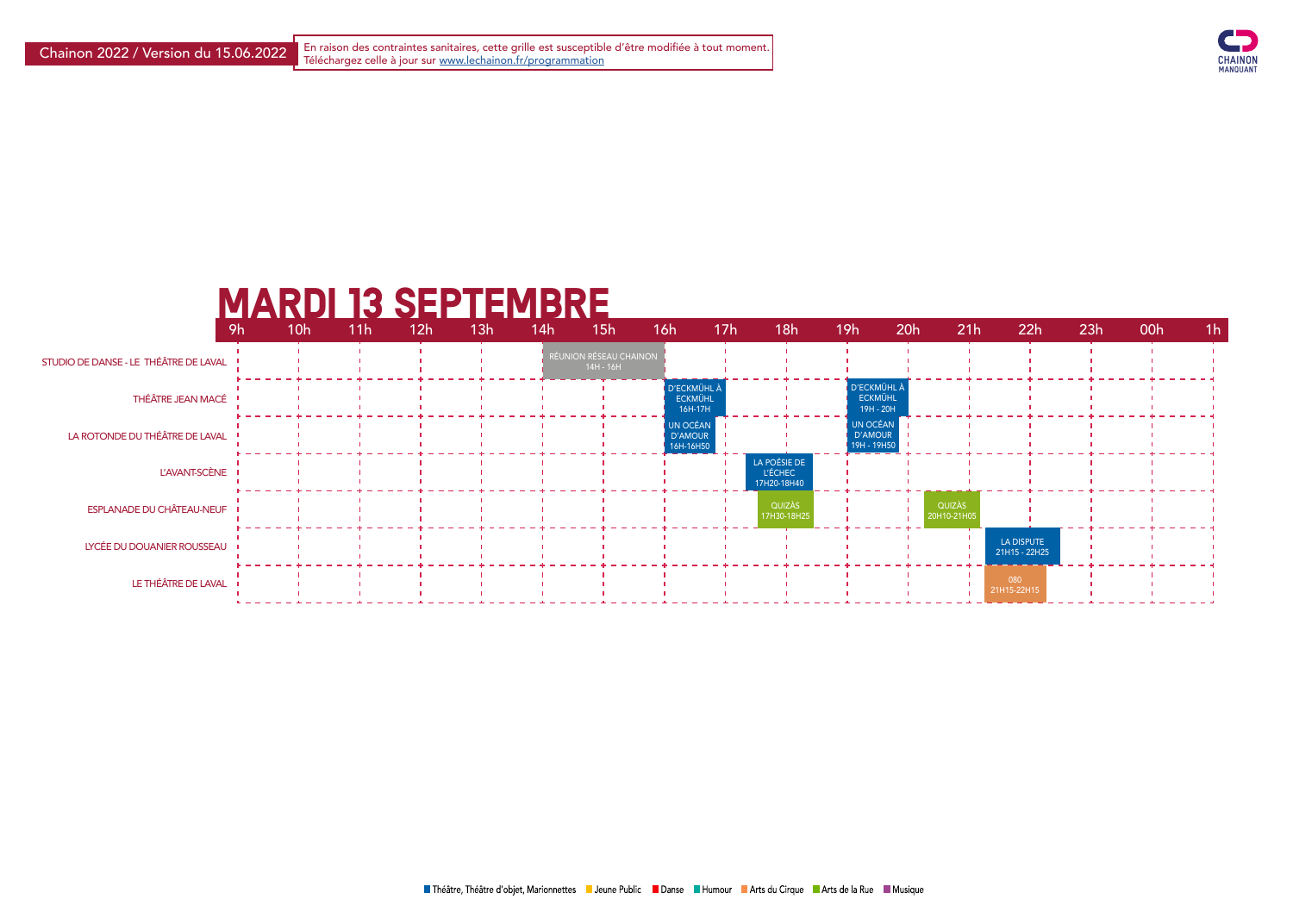Chainon 2022 / Version du 15.06.2022 Fin raison des contraintes sanitaires, cette grille est susceptible d'être modifiée à tout moment.<br>Téléchargez celle à jour sur <u>www.lechainon.fr/programmation</u>



## Mardi 13 septembre

|                                       | 9h | 10 <sub>h</sub> | 11h | 12h | 13h | 14h | 15h                                 | 16h                                      | 17 <sub>h</sub> | 18h                                           | 19h                                      | 20h                   | 21h | 22h                         | 23h | 00h | 1 <sub>h</sub> |  |
|---------------------------------------|----|-----------------|-----|-----|-----|-----|-------------------------------------|------------------------------------------|-----------------|-----------------------------------------------|------------------------------------------|-----------------------|-----|-----------------------------|-----|-----|----------------|--|
| STUDIO DE DANSE - LE THÉÂTRE DE LAVAL |    |                 |     |     |     |     | RÉUNION RÉSEAU CHAINON<br>14H - 16H |                                          |                 |                                               |                                          |                       |     |                             |     |     |                |  |
| THÉÂTRE JEAN MACÉ                     |    |                 |     |     |     |     |                                     | D'ECKMÜHL À<br><b>ECKMÜHL</b><br>16H-17H |                 |                                               | D'ECKMÜHL<br><b>ECKMÜHL</b><br>19H - 20H |                       |     |                             |     |     |                |  |
| LA ROTONDE DU THÉÂTRE DE LAVAL        |    |                 |     |     |     |     |                                     | UN OCÉAN<br>D'AMOUR<br>16H-16H50         |                 |                                               | UN OCÉAN<br>D'AMOUR<br>19H - 19H50       |                       |     |                             |     |     |                |  |
| L'AVANT-SCÈNE                         |    |                 |     |     |     |     |                                     |                                          |                 | LA POÉSIE DE<br><b>L'ÉCHEC</b><br>17H20-18H40 |                                          |                       |     |                             |     |     |                |  |
| <b>ESPLANADE DU CHÂTEAU-NEUF</b>      |    |                 |     |     |     |     |                                     |                                          |                 | QUIZÀS<br>17H30-18H25                         |                                          | QUIZAS<br>20H10-21H05 |     |                             |     |     |                |  |
| LYCÉE DU DOUANIER ROUSSEAU            |    |                 |     |     |     |     |                                     |                                          |                 |                                               |                                          |                       |     | LA DISPUTE<br>21H15 - 22H25 |     |     |                |  |
| LE THÉÂTRE DE LAVAL                   |    |                 |     |     |     |     |                                     |                                          |                 |                                               |                                          |                       |     | 080<br>21H15-22H15          |     |     |                |  |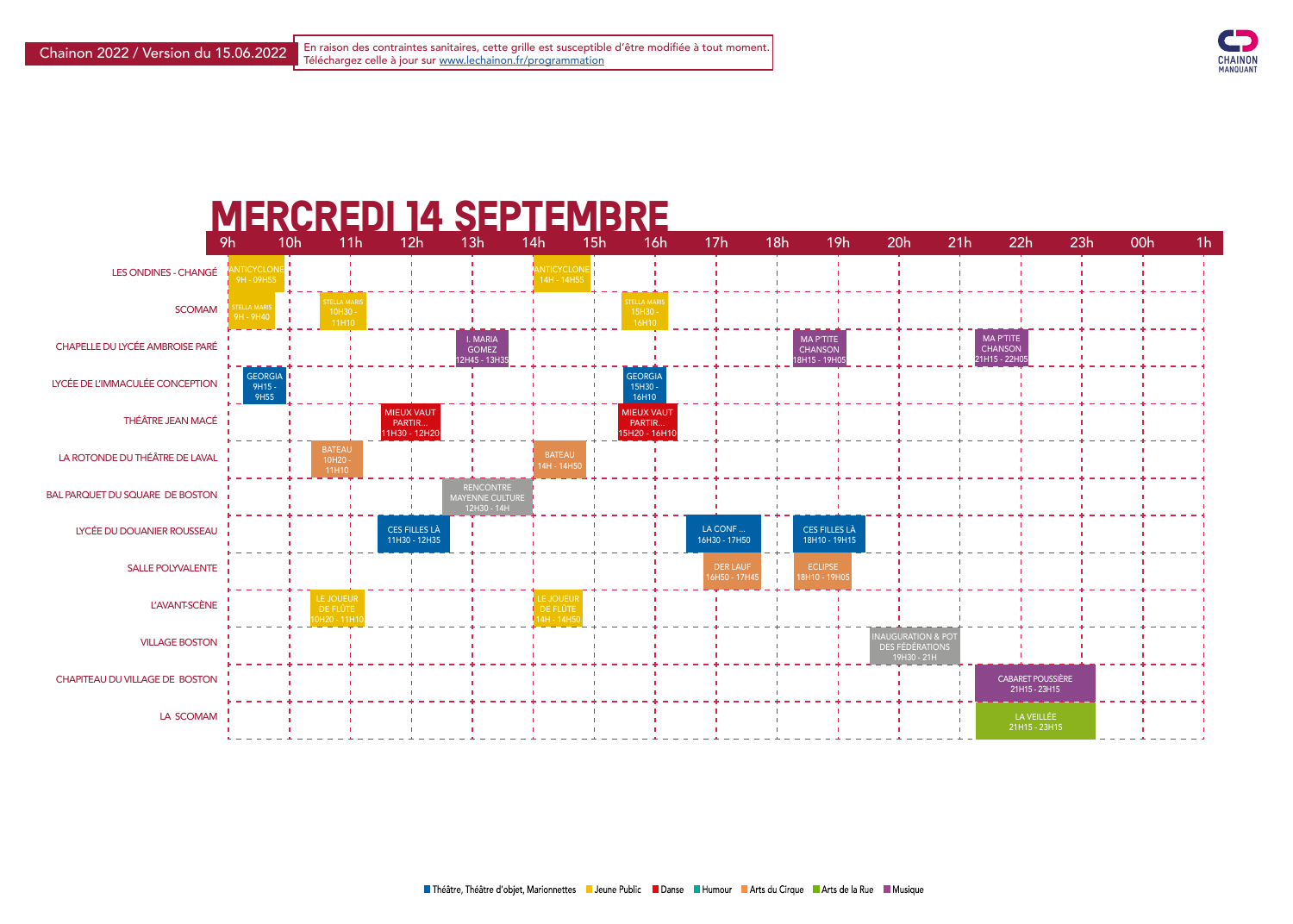

## MERCREDI 14 SEPTEMBRE



| 22h                                                 | 23h | 00h | 1 <sub>h</sub> |
|-----------------------------------------------------|-----|-----|----------------|
|                                                     |     |     |                |
|                                                     |     |     |                |
|                                                     |     |     |                |
| <b>MA P'TITE</b><br><b>CHANSON</b><br>21H15 - 22H05 | ı   | ı   |                |
|                                                     |     |     |                |
|                                                     |     |     |                |
|                                                     |     |     |                |
|                                                     |     |     |                |
| ı                                                   |     |     |                |
|                                                     |     |     |                |
|                                                     |     |     |                |
|                                                     |     |     |                |
|                                                     |     |     |                |
|                                                     | ı   |     |                |
|                                                     | ı   |     |                |
| <b>CABARET POUSSIÈRE</b><br>21H15 - 23H15           |     |     |                |
| LA VEILLÉE<br>$21H15 - 23H15$                       |     |     |                |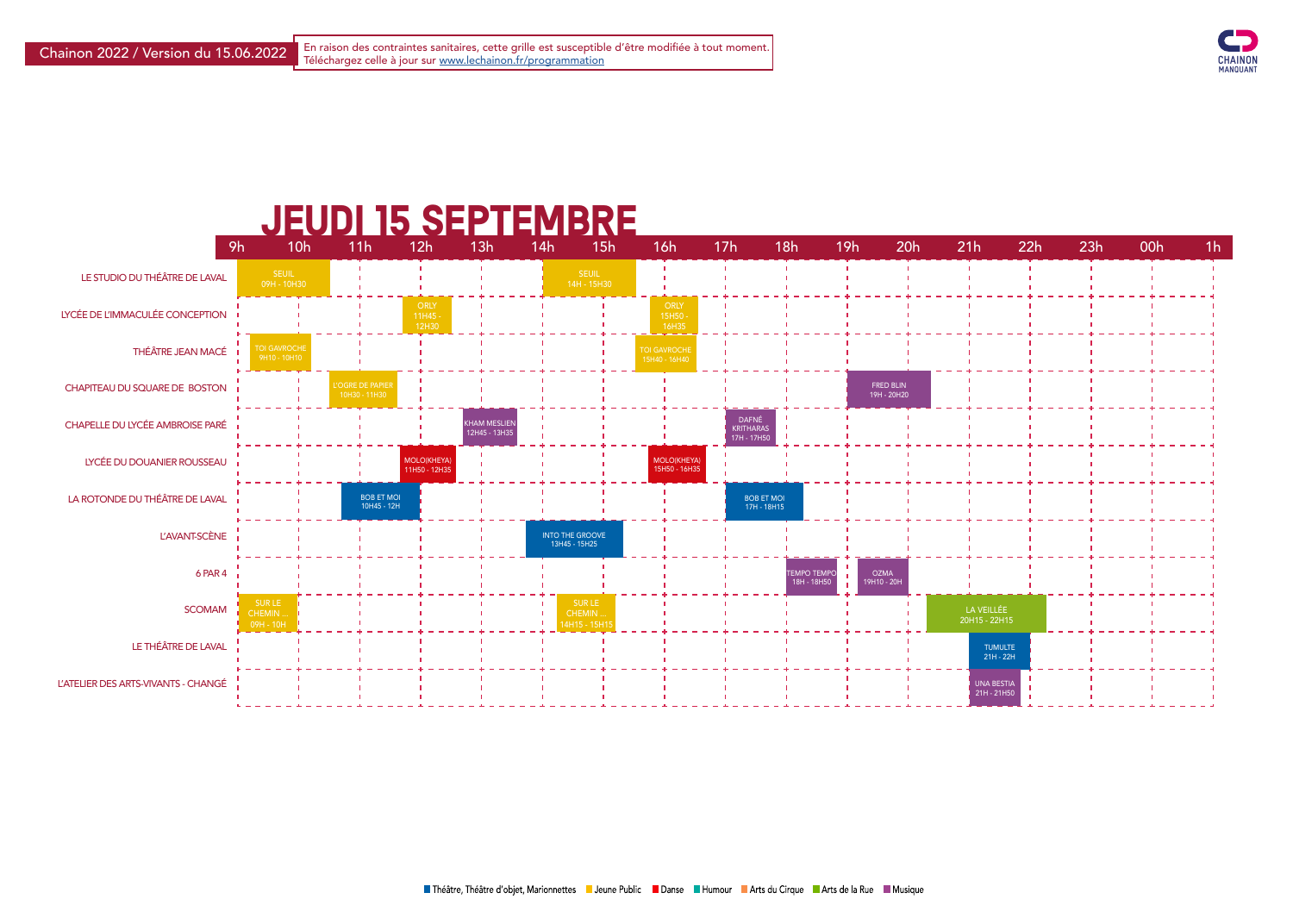

## **JEUDI 15 SEPTEMBRE**



| 1 <sub>h</sub>                   | 22h | 23h | 00h | 1 <sub>h</sub> |
|----------------------------------|-----|-----|-----|----------------|
|                                  |     |     | ı   |                |
|                                  |     |     |     |                |
|                                  |     |     |     |                |
|                                  |     |     |     |                |
|                                  |     |     | ı   |                |
|                                  |     |     | ı   |                |
|                                  |     |     |     |                |
|                                  |     |     |     |                |
|                                  |     |     | ı   |                |
| LA VEILLÉE                       |     |     | ı   |                |
| 0H15 - 22H15                     |     |     |     |                |
| <b>TUMULTE</b><br>21H - 22H      |     |     | ı   |                |
| <b>UNA BESTIA</b><br>21H - 21H50 |     |     |     |                |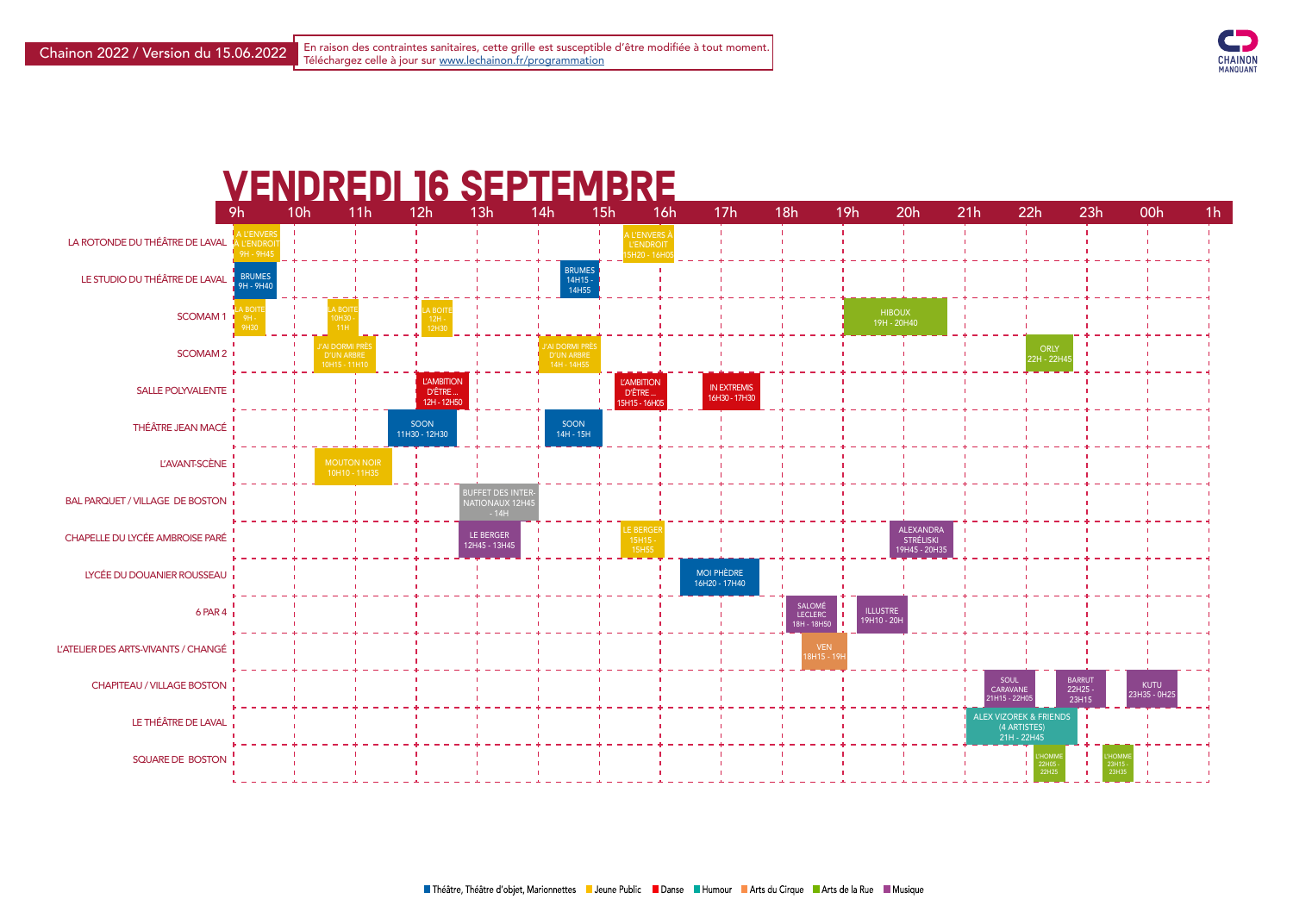



| h | 22h                                                              | 23h                              | 00h                         | 1 <sub>h</sub> |
|---|------------------------------------------------------------------|----------------------------------|-----------------------------|----------------|
|   |                                                                  | ı<br>I                           | ı<br>ı                      |                |
|   |                                                                  | ı                                |                             |                |
|   |                                                                  |                                  |                             |                |
|   |                                                                  |                                  |                             |                |
|   |                                                                  |                                  |                             |                |
|   | <b>ORLY</b><br>22H - 22H45                                       | ī                                |                             |                |
|   |                                                                  |                                  |                             |                |
|   |                                                                  |                                  |                             |                |
|   |                                                                  | п                                |                             |                |
|   |                                                                  | ı                                |                             |                |
|   |                                                                  |                                  |                             |                |
|   |                                                                  |                                  |                             |                |
|   |                                                                  |                                  |                             |                |
|   |                                                                  |                                  |                             |                |
|   |                                                                  |                                  |                             |                |
|   |                                                                  |                                  |                             |                |
|   |                                                                  |                                  |                             |                |
|   |                                                                  | ı<br>ī                           |                             |                |
|   | SOUL<br><b>CARAVANE</b><br>21H15 - 22H05                         | <b>BARRUT</b><br>22H25-<br>23H15 | <b>KUTU</b><br>23H35 - 0H25 |                |
|   | <b>ALEX VIZOREK &amp; FRIENDS</b><br>(4 ARTISTES)<br>21H - 22H45 | ı<br>Ī<br>ī<br>٠                 | ī<br>ı                      |                |

L'HOMME 22H25

L'HOMME 23H35